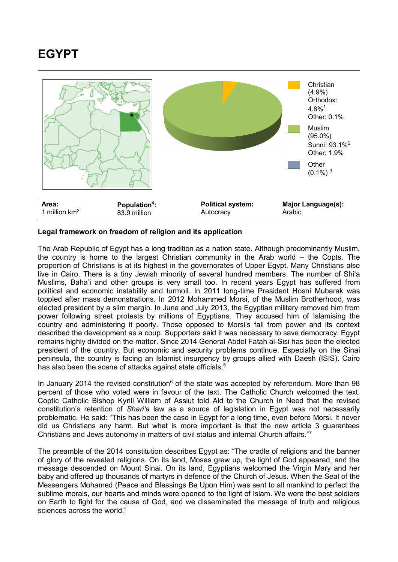## **EGYPT**



## **Legal framework on freedom of religion and its application**

The Arab Republic of Egypt has a long tradition as a nation state. Although predominantly Muslim, the country is home to the largest Christian community in the Arab world – the Copts. The proportion of Christians is at its highest in the governorates of Upper Egypt. Many Christians also live in Cairo. There is a tiny Jewish minority of several hundred members. The number of Shi'a Muslims, Baha'i and other groups is very small too. In recent years Egypt has suffered from political and economic instability and turmoil. In 2011 long-time President Hosni Mubarak was toppled after mass demonstrations. In 2012 Mohammed Morsi, of the Muslim Brotherhood, was elected president by a slim margin. In June and July 2013, the Egyptian military removed him from power following street protests by millions of Egyptians. They accused him of Islamising the country and administering it poorly. Those opposed to Morsi's fall from power and its context described the development as a coup. Supporters said it was necessary to save democracy. Egypt remains highly divided on the matter. Since 2014 General Abdel Fatah al-Sisi has been the elected president of the country. But economic and security problems continue. Especially on the Sinai peninsula, the country is facing an Islamist insurgency by groups allied with Daesh (ISIS). Cairo has also been the scene of attacks against state officials.<sup>5</sup>

In January 2014 the revised constitution<sup>6</sup> of the state was accepted by referendum. More than 98 percent of those who voted were in favour of the text. The Catholic Church welcomed the text. Coptic Catholic Bishop Kyrill William of Assiut told Aid to the Church in Need that the revised constitution's retention of *Shari'a* law as a source of legislation in Egypt was not necessarily problematic. He said: "This has been the case in Egypt for a long time, even before Morsi. It never did us Christians any harm. But what is more important is that the new article 3 guarantees Christians and Jews autonomy in matters of civil status and internal Church affairs."7

The preamble of the 2014 constitution describes Egypt as: "The cradle of religions and the banner of glory of the revealed religions. On its land, Moses grew up, the light of God appeared, and the message descended on Mount Sinai. On its land, Egyptians welcomed the Virgin Mary and her baby and offered up thousands of martyrs in defence of the Church of Jesus. When the Seal of the Messengers Mohamed (Peace and Blessings Be Upon Him) was sent to all mankind to perfect the sublime morals, our hearts and minds were opened to the light of Islam. We were the best soldiers on Earth to fight for the cause of God, and we disseminated the message of truth and religious sciences across the world."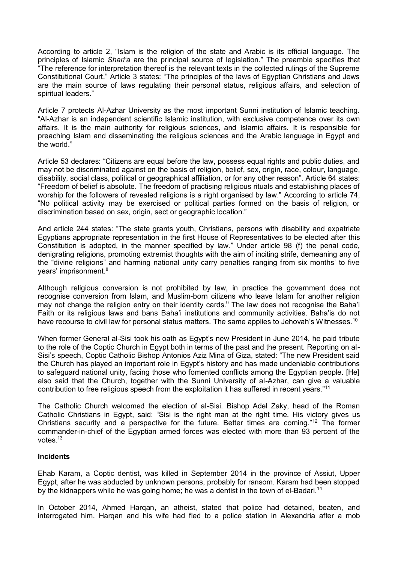According to article 2, "Islam is the religion of the state and Arabic is its official language. The principles of Islamic *Shari'a* are the principal source of legislation." The preamble specifies that "The reference for interpretation thereof is the relevant texts in the collected rulings of the Supreme Constitutional Court." Article 3 states: "The principles of the laws of Egyptian Christians and Jews are the main source of laws regulating their personal status, religious affairs, and selection of spiritual leaders."

Article 7 protects Al-Azhar University as the most important Sunni institution of Islamic teaching. "Al-Azhar is an independent scientific Islamic institution, with exclusive competence over its own affairs. It is the main authority for religious sciences, and Islamic affairs. It is responsible for preaching Islam and disseminating the religious sciences and the Arabic language in Egypt and the world."

Article 53 declares: "Citizens are equal before the law, possess equal rights and public duties, and may not be discriminated against on the basis of religion, belief, sex, origin, race, colour, language, disability, social class, political or geographical affiliation, or for any other reason". Article 64 states: "Freedom of belief is absolute. The freedom of practising religious rituals and establishing places of worship for the followers of revealed religions is a right organised by law." According to article 74, "No political activity may be exercised or political parties formed on the basis of religion, or discrimination based on sex, origin, sect or geographic location."

And article 244 states: "The state grants youth, Christians, persons with disability and expatriate Egyptians appropriate representation in the first House of Representatives to be elected after this Constitution is adopted, in the manner specified by law." Under article 98 (f) the penal code, denigrating religions, promoting extremist thoughts with the aim of inciting strife, demeaning any of the "divine religions" and harming national unity carry penalties ranging from six months' to five years' imprisonment.<sup>8</sup>

Although religious conversion is not prohibited by law, in practice the government does not recognise conversion from Islam, and Muslim-born citizens who leave Islam for another religion may not change the religion entry on their identity cards.<sup>9</sup> The law does not recognise the Baha'i Faith or its religious laws and bans Baha'i institutions and community activities. Baha'is do not have recourse to civil law for personal status matters. The same applies to Jehovah's Witnesses.<sup>10</sup>

When former General al-Sisi took his oath as Egypt's new President in June 2014, he paid tribute to the role of the Coptic Church in Egypt both in terms of the past and the present. Reporting on al-Sisi's speech, Coptic Catholic Bishop Antonios Aziz Mina of Giza, stated: "The new President said the Church has played an important role in Egypt's history and has made undeniable contributions to safeguard national unity, facing those who fomented conflicts among the Egyptian people. [He] also said that the Church, together with the Sunni University of al-Azhar, can give a valuable contribution to free religious speech from the exploitation it has suffered in recent years."<sup>11</sup>

The Catholic Church welcomed the election of al-Sisi. Bishop Adel Zaky, head of the Roman Catholic Christians in Egypt, said: "Sisi is the right man at the right time. His victory gives us Christians security and a perspective for the future. Better times are coming."<sup>12</sup> The former commander-in-chief of the Egyptian armed forces was elected with more than 93 percent of the votes.<sup>13</sup>

## **Incidents**

Ehab Karam, a Coptic dentist, was killed in September 2014 in the province of Assiut, Upper Egypt, after he was abducted by unknown persons, probably for ransom. Karam had been stopped by the kidnappers while he was going home; he was a dentist in the town of el-Badari.<sup>14</sup>

In October 2014, Ahmed Harqan, an atheist, stated that police had detained, beaten, and interrogated him. Harqan and his wife had fled to a police station in Alexandria after a mob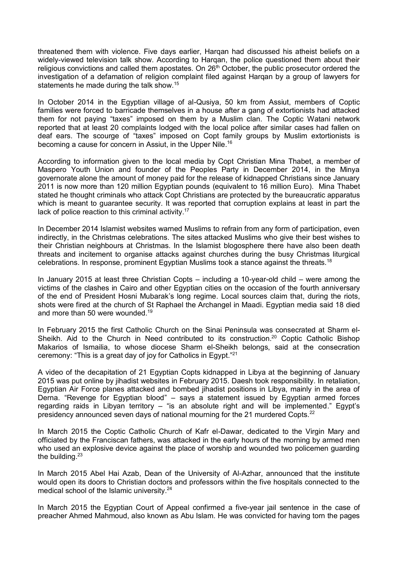threatened them with violence. Five days earlier, Harqan had discussed his atheist beliefs on a widely-viewed television talk show. According to Harqan, the police questioned them about their religious convictions and called them apostates. On 26<sup>th</sup> October, the public prosecutor ordered the investigation of a defamation of religion complaint filed against Harqan by a group of lawyers for statements he made during the talk show.<sup>15</sup>

In October 2014 in the Egyptian village of al-Qusiya, 50 km from Assiut, members of Coptic families were forced to barricade themselves in a house after a gang of extortionists had attacked them for not paying "taxes" imposed on them by a Muslim clan. The Coptic Watani network reported that at least 20 complaints lodged with the local police after similar cases had fallen on deaf ears. The scourge of "taxes" imposed on Copt family groups by Muslim extortionists is becoming a cause for concern in Assiut, in the Upper Nile.<sup>16</sup>

According to information given to the local media by Copt Christian Mina Thabet, a member of Maspero Youth Union and founder of the Peoples Party in December 2014, in the Minya governorate alone the amount of money paid for the release of kidnapped Christians since January 2011 is now more than 120 million Egyptian pounds (equivalent to 16 million Euro). Mina Thabet stated he thought criminals who attack Copt Christians are protected by the bureaucratic apparatus which is meant to guarantee security. It was reported that corruption explains at least in part the lack of police reaction to this criminal activity.<sup>17</sup>

In December 2014 Islamist websites warned Muslims to refrain from any form of participation, even indirectly, in the Christmas celebrations. The sites attacked Muslims who give their best wishes to their Christian neighbours at Christmas. In the Islamist blogosphere there have also been death threats and incitement to organise attacks against churches during the busy Christmas liturgical celebrations. In response, prominent Egyptian Muslims took a stance against the threats.<sup>18</sup>

In January 2015 at least three Christian Copts – including a 10-year-old child – were among the victims of the clashes in Cairo and other Egyptian cities on the occasion of the fourth anniversary of the end of President Hosni Mubarak's long regime. Local sources claim that, during the riots, shots were fired at the church of St Raphael the Archangel in Maadi. Egyptian media said 18 died and more than 50 were wounded.<sup>19</sup>

In February 2015 the first Catholic Church on the Sinai Peninsula was consecrated at Sharm el-Sheikh. Aid to the Church in Need contributed to its construction.<sup>20</sup> Coptic Catholic Bishop Makarios of Ismailia, to whose diocese Sharm el-Sheikh belongs, said at the consecration ceremony: "This is a great day of joy for Catholics in Egypt." 21

A video of the decapitation of 21 Egyptian Copts kidnapped in Libya at the beginning of January 2015 was put online by jihadist websites in February 2015. Daesh took responsibility. In retaliation, Egyptian Air Force planes attacked and bombed jihadist positions in Libya, mainly in the area of Derna. "Revenge for Egyptian blood" – says a statement issued by Egyptian armed forces regarding raids in Libyan territory  $-$  "is an absolute right and will be implemented." Egypt's presidency announced seven days of national mourning for the 21 murdered Copts.<sup>22</sup>

In March 2015 the Coptic Catholic Church of Kafr el-Dawar, dedicated to the Virgin Mary and officiated by the Franciscan fathers, was attacked in the early hours of the morning by armed men who used an explosive device against the place of worship and wounded two policemen guarding the building.<sup>23</sup>

In March 2015 Abel Hai Azab, Dean of the University of Al-Azhar, announced that the institute would open its doors to Christian doctors and professors within the five hospitals connected to the medical school of the Islamic university.<sup>24</sup>

In March 2015 the Egyptian Court of Appeal confirmed a five-year jail sentence in the case of preacher Ahmed Mahmoud, also known as Abu Islam. He was convicted for having torn the pages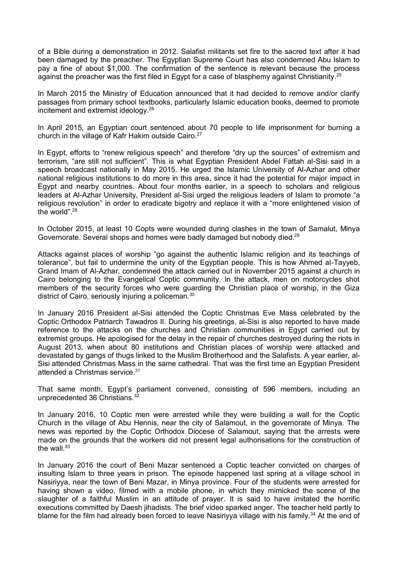of a Bible during a demonstration in 2012. Salafist militants set fire to the sacred text after it had been damaged by the preacher. The Egyptian Supreme Court has also condemned Abu Islam to pay a fine of about \$1,000. The confirmation of the sentence is relevant because the process against the preacher was the first filed in Egypt for a case of blasphemy against Christianity.<sup>25</sup>

In March 2015 the Ministry of Education announced that it had decided to remove and/or clarify passages from primary school textbooks, particularly Islamic education books, deemed to promote incitement and extremist ideology.<sup>26</sup>

In April 2015, an Egyptian court sentenced about 70 people to life imprisonment for burning a church in the village of Kafr Hakim outside Cairo.<sup>27</sup>

In Egypt, efforts to "renew religious speech" and therefore "dry up the sources" of extremism and terrorism, "are still not sufficient". This is what Egyptian President Abdel Fattah al-Sisi said in a speech broadcast nationally in May 2015. He urged the Islamic University of Al-Azhar and other national religious institutions to do more in this area, since it had the potential for major impact in Egypt and nearby countries. About four months earlier, in a speech to scholars and religious leaders at Al-Azhar University, President al-Sisi urged the religious leaders of Islam to promote "a religious revolution" in order to eradicate bigotry and replace it with a "more enlightened vision of the world". 28

In October 2015, at least 10 Copts were wounded during clashes in the town of Samalut, Minya Governorate. Several shops and homes were badly damaged but nobody died.<sup>29</sup>

Attacks against places of worship "go against the authentic Islamic religion and its teachings of tolerance", but fail to undermine the unity of the Egyptian people. This is how Ahmed al-Tayyeb, Grand Imam of Al-Azhar, condemned the attack carried out in November 2015 against a church in Cairo belonging to the Evangelical Coptic community. In the attack, men on motorcycles shot members of the security forces who were guarding the Christian place of worship, in the Giza district of Cairo, seriously injuring a policeman.<sup>30</sup>

In January 2016 President al-Sisi attended the Coptic Christmas Eve Mass celebrated by the Coptic Orthodox Patriarch Tawadros II. During his greetings, al-Sisi is also reported to have made reference to the attacks on the churches and Christian communities in Egypt carried out by extremist groups. He apologised for the delay in the repair of churches destroyed during the riots in August 2013, when about 80 institutions and Christian places of worship were attacked and devastated by gangs of thugs linked to the Muslim Brotherhood and the Salafists. A year earlier, al-Sisi attended Christmas Mass in the same cathedral. That was the first time an Egyptian President attended a Christmas service. 31

That same month, Egypt's parliament convened, consisting of 596 members, including an unprecedented 36 Christians.<sup>32</sup>

In January 2016, 10 Coptic men were arrested while they were building a wall for the Coptic Church in the village of Abu Hennis, near the city of Salamout, in the governorate of Minya. The news was reported by the Coptic Orthodox Diocese of Salamout, saying that the arrests were made on the grounds that the workers did not present legal authorisations for the construction of the wall.<sup>33</sup>

In January 2016 the court of Beni Mazar sentenced a Coptic teacher convicted on charges of insulting Islam to three years in prison. The episode happened last spring at a village school in Nasiriyya, near the town of Beni Mazar, in Minya province. Four of the students were arrested for having shown a video, filmed with a mobile phone, in which they mimicked the scene of the slaughter of a faithful Muslim in an attitude of prayer. It is said to have imitated the horrific executions committed by Daesh jihadists. The brief video sparked anger. The teacher held partly to blame for the film had already been forced to leave Nasiriyya village with his family.<sup>34</sup> At the end of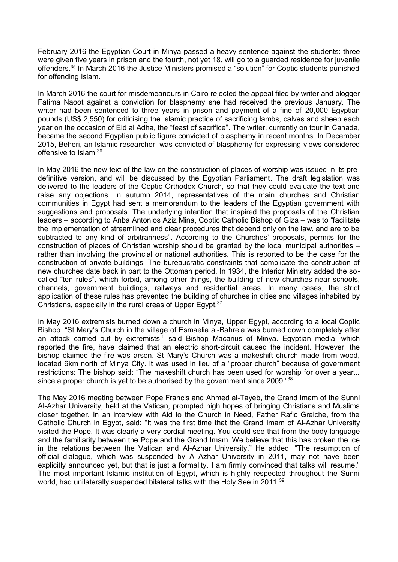February 2016 the Egyptian Court in Minya passed a heavy sentence against the students: three were given five years in prison and the fourth, not yet 18, will go to a guarded residence for juvenile offenders.<sup>35</sup> In March 2016 the Justice Ministers promised a "solution" for Coptic students punished for offending Islam.

In March 2016 the court for misdemeanours in Cairo rejected the appeal filed by writer and blogger Fatima Naoot against a conviction for blasphemy she had received the previous January. The writer had been sentenced to three years in prison and payment of a fine of 20,000 Egyptian pounds (US\$ 2,550) for criticising the Islamic practice of sacrificing lambs, calves and sheep each year on the occasion of Eid al Adha, the "feast of sacrifice". The writer, currently on tour in Canada, became the second Egyptian public figure convicted of blasphemy in recent months. In December 2015, Beheri, an Islamic researcher, was convicted of blasphemy for expressing views considered offensive to Islam.<sup>36</sup>

In May 2016 the new text of the law on the construction of places of worship was issued in its predefinitive version, and will be discussed by the Egyptian Parliament. The draft legislation was delivered to the leaders of the Coptic Orthodox Church, so that they could evaluate the text and raise any objections. In autumn 2014, representatives of the main churches and Christian communities in Egypt had sent a memorandum to the leaders of the Egyptian government with suggestions and proposals. The underlying intention that inspired the proposals of the Christian leaders – according to Anba Antonios Aziz Mina, Coptic Catholic Bishop of Giza – was to "facilitate the implementation of streamlined and clear procedures that depend only on the law, and are to be subtracted to any kind of arbitrariness". According to the Churches' proposals, permits for the construction of places of Christian worship should be granted by the local municipal authorities – rather than involving the provincial or national authorities. This is reported to be the case for the construction of private buildings. The bureaucratic constraints that complicate the construction of new churches date back in part to the Ottoman period. In 1934, the Interior Ministry added the socalled "ten rules", which forbid, among other things, the building of new churches near schools, channels, government buildings, railways and residential areas. In many cases, the strict application of these rules has prevented the building of churches in cities and villages inhabited by Christians, especially in the rural areas of Upper Egypt.<sup>37</sup>

In May 2016 extremists burned down a church in Minya, Upper Egypt, according to a local Coptic Bishop. "St Mary's Church in the village of Esmaelia al-Bahreia was burned down completely after an attack carried out by extremists," said Bishop Macarius of Minya. Egyptian media, which reported the fire, have claimed that an electric short-circuit caused the incident. However, the bishop claimed the fire was arson. St Mary's Church was a makeshift church made from wood, located 6km north of Minya City. It was used in lieu of a "proper church" because of government restrictions: The bishop said: "The makeshift church has been used for worship for over a year... since a proper church is yet to be authorised by the government since 2009."<sup>38</sup>

The May 2016 meeting between Pope Francis and Ahmed al-Tayeb, the Grand Imam of the Sunni Al-Azhar University, held at the Vatican, prompted high hopes of bringing Christians and Muslims closer together. In an interview with Aid to the Church in Need, Father Rafic Greiche, from the Catholic Church in Egypt, said: "It was the first time that the Grand Imam of Al-Azhar University visited the Pope. It was clearly a very cordial meeting. You could see that from the body language and the familiarity between the Pope and the Grand Imam. We believe that this has broken the ice in the relations between the Vatican and Al-Azhar University." He added: "The resumption of official dialogue, which was suspended by Al-Azhar University in 2011, may not have been explicitly announced yet, but that is just a formality. I am firmly convinced that talks will resume." The most important Islamic institution of Egypt, which is highly respected throughout the Sunni world, had unilaterally suspended bilateral talks with the Holy See in 2011.<sup>39</sup>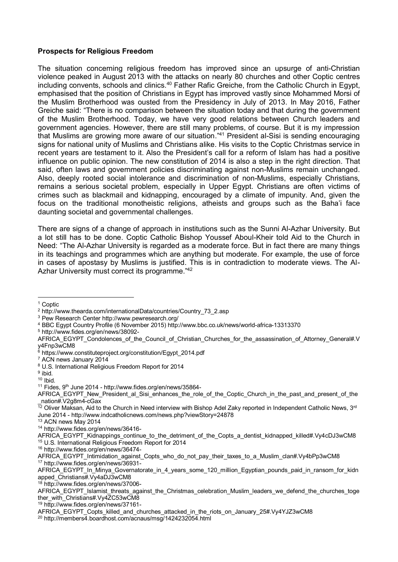## **Prospects for Religious Freedom**

The situation concerning religious freedom has improved since an upsurge of anti-Christian violence peaked in August 2013 with the attacks on nearly 80 churches and other Coptic centres including convents, schools and clinics.<sup>40</sup> Father Rafic Greiche, from the Catholic Church in Egypt, emphasised that the position of Christians in Egypt has improved vastly since Mohammed Morsi of the Muslim Brotherhood was ousted from the Presidency in July of 2013. In May 2016, Father Greiche said: "There is no comparison between the situation today and that during the government of the Muslim Brotherhood. Today, we have very good relations between Church leaders and government agencies. However, there are still many problems, of course. But it is my impression that Muslims are growing more aware of our situation." <sup>41</sup> President al-Sisi is sending encouraging signs for national unity of Muslims and Christians alike. His visits to the Coptic Christmas service in recent years are testament to it. Also the President's call for a reform of Islam has had a positive influence on public opinion. The new constitution of 2014 is also a step in the right direction. That said, often laws and government policies discriminating against non-Muslims remain unchanged. Also, deeply rooted social intolerance and discrimination of non-Muslims, especially Christians, remains a serious societal problem, especially in Upper Egypt. Christians are often victims of crimes such as blackmail and kidnapping, encouraged by a climate of impunity. And, given the focus on the traditional monotheistic religions, atheists and groups such as the Baha'i face daunting societal and governmental challenges.

There are signs of a change of approach in institutions such as the Sunni Al-Azhar University. But a lot still has to be done. Coptic Catholic Bishop Youssef Aboul-Kheir told Aid to the Church in Need: "The Al-Azhar University is regarded as a moderate force. But in fact there are many things in its teachings and programmes which are anything but moderate. For example, the use of force in cases of apostasy by Muslims is justified. This is in contradiction to moderate views. The Al-Azhar University must correct its programme."<sup>42</sup>

**.** 

- <sup>4</sup> BBC Egypt Country Profile (6 November 2015) http://www.bbc.co.uk/news/world-africa-13313370
- <sup>5</sup> http://www.fides.org/en/news/38092-

<sup>12</sup> Oliver Maksan, Aid to the Church in Need interview with Bishop Adel Zaky reported in Independent Catholic News, 3<sup>rd</sup> June 2014 - http://www.indcatholicnews.com/news.php?viewStory=24878

<sup>1</sup> Coptic

<sup>2</sup> http://www.thearda.com/internationalData/countries/Country\_73\_2.asp

<sup>3</sup> Pew Research Center http://www.pewresearch.org/

AFRICA\_EGYPT\_Condolences\_of\_the\_Council\_of\_Christian\_Churches\_for\_the\_assassination\_of\_Attorney\_General#.V y4Fnp3wCM8

<sup>&</sup>lt;sup>6</sup> https://www.constituteproject.org/constitution/Egypt\_2014.pdf

<sup>7</sup> ACN news January 2014

<sup>8</sup> U.S. International Religious Freedom Report for 2014

<sup>&</sup>lt;sup>9</sup> ibid.

<sup>10</sup> Ibid.

<sup>&</sup>lt;sup>11</sup> Fides, 9<sup>th</sup> June 2014 - http://www.fides.org/en/news/35864-

AFRICA\_EGYPT\_New\_President\_al\_Sisi\_enhances\_the\_role\_of\_the\_Coptic\_Church\_in\_the\_past\_and\_present\_of\_the \_nation#.V2g8m4-cGax

<sup>13</sup> ACN news May 2014

<sup>14</sup> http://www.fides.org/en/news/36416-

AFRICA\_EGYPT\_Kidnappings\_continue\_to\_the\_detriment\_of\_the\_Copts\_a\_dentist\_kidnapped\_killed#.Vy4cDJ3wCM8 <sup>15</sup> U.S. International Religious Freedom Report for 2014

<sup>16</sup> http://www.fides.org/en/news/36474-

AFRICA\_EGYPT\_Intimidation\_against\_Copts\_who\_do\_not\_pay\_their\_taxes\_to\_a\_Muslim\_clan#.Vy4bPp3wCM8 <sup>17</sup> http://www.fides.org/en/news/36931-

AFRICA\_EGYPT\_In\_Minya\_Governatorate\_in\_4\_years\_some\_120\_million\_Egyptian\_pounds\_paid\_in\_ransom\_for\_kidn apped\_Christians#.Vy4aDJ3wCM8

http://www.fides.org/en/news/37006-

AFRICA\_EGYPT\_Islamist\_threats\_against\_the\_Christmas\_celebration\_Muslim\_leaders\_we\_defend\_the\_churches\_toge ther\_with\_Christians#.Vy4ZC53wCM8

<sup>19</sup> http://www.fides.org/en/news/37161-

AFRICA\_EGYPT\_Copts\_killed\_and\_churches\_attacked\_in\_the\_riots\_on\_January\_25#.Vy4YJZ3wCM8

<sup>20</sup> http://members4.boardhost.com/acnaus/msg/1424232054.html